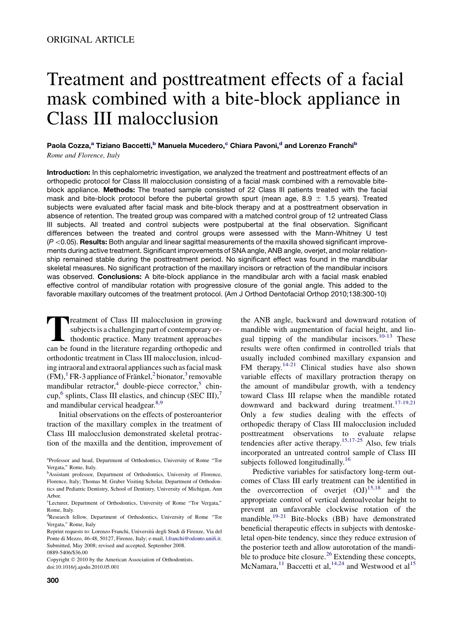# Treatment and posttreatment effects of a facial mask combined with a bite-block appliance in Class III malocclusion

Paola Cozza,<sup>a</sup> Tiziano Baccetti,<sup>b</sup> Manuela Mucedero,<sup>c</sup> Chiara Pavoni,<sup>d</sup> and Lorenzo Franchi<sup>b</sup> Rome and Florence, Italy

Introduction: In this cephalometric investigation, we analyzed the treatment and posttreatment effects of an orthopedic protocol for Class III malocclusion consisting of a facial mask combined with a removable biteblock appliance. Methods: The treated sample consisted of 22 Class III patients treated with the facial mask and bite-block protocol before the pubertal growth spurt (mean age,  $8.9 \pm 1.5$  years). Treated subjects were evaluated after facial mask and bite-block therapy and at a posttreatment observation in absence of retention. The treated group was compared with a matched control group of 12 untreated Class III subjects. All treated and control subjects were postpubertal at the final observation. Significant differences between the treated and control groups were assessed with the Mann-Whitney U test  $(P < 0.05)$ . Results: Both angular and linear sagittal measurements of the maxilla showed significant improvements during active treatment. Significant improvements of SNA angle, ANB angle, overjet, and molar relationship remained stable during the posttreatment period. No significant effect was found in the mandibular skeletal measures. No significant protraction of the maxillary incisors or retraction of the mandibular incisors was observed. Conclusions: A bite-block appliance in the mandibular arch with a facial mask enabled effective control of mandibular rotation with progressive closure of the gonial angle. This added to the favorable maxillary outcomes of the treatment protocol. (Am J Orthod Dentofacial Orthop 2010;138:300-10)

Treatment of Class III malocclusion in growing<br>subjects is a challenging part of contemporary or-<br>thodontic practice. Many treatment approaches<br>can be found in the literature regarding orthonedic and subjects is a challenging part of contemporary orthodontic practice. Many treatment approaches can be found in the literature regarding orthopedic and orthodontic treatment in Class III malocclusion, inlcuding intraoral and extraoral appliances such as facial mask  $(FM)$ ,<sup>[1](#page-9-0)</sup> FR-3 appliance of Fränkel,<sup>[2](#page-9-0)</sup> bionator,<sup>[3](#page-9-0)</sup> removable mandibular retractor,<sup>[4](#page-9-0)</sup> double-piece corrector,<sup>[5](#page-9-0)</sup> chin-cup,<sup>[6](#page-9-0)</sup> splints, Class III elastics, and chincup (SEC III),<sup>[7](#page-9-0)</sup> and mandibular cervical headgear.<sup>8,9</sup>

Initial observations on the effects of posteroanterior traction of the maxillary complex in the treatment of Class III malocclusion demonstrated skeletal protraction of the maxilla and the dentition, improvement of

Copyright © 2010 by the American Association of Orthodontists. doi:10.1016/j.ajodo.2010.05.001

the ANB angle, backward and downward rotation of mandible with augmentation of facial height, and lin-gual tipping of the mandibular incisors.<sup>[10-13](#page-9-0)</sup> These results were often confirmed in controlled trials that usually included combined maxillary expansion and FM therapy.<sup>[14-21](#page-9-0)</sup> Clinical studies have also shown variable effects of maxillary protraction therapy on the amount of mandibular growth, with a tendency toward Class III relapse when the mandible rotated downward and backward during treatment.[17-19,21](#page-9-0) Only a few studies dealing with the effects of orthopedic therapy of Class III malocclusion included posttreatment observations to evaluate relapse tendencies after active therapy.<sup>[15,17-25](#page-9-0)</sup> Also, few trials incorporated an untreated control sample of Class III subjects followed longitudinally.<sup>[16](#page-9-0)</sup>

Predictive variables for satisfactory long-term outcomes of Class III early treatment can be identified in the overcorrection of overjet  $(OJ)^{15,18}$  $(OJ)^{15,18}$  $(OJ)^{15,18}$  and the appropriate control of vertical dentoalveolar height to prevent an unfavorable clockwise rotation of the mandible.<sup>[19-21](#page-9-0)</sup> Bite-blocks (BB) have demonstrated beneficial therapeutic effects in subjects with dentoskeletal open-bite tendency, since they reduce extrusion of the posterior teeth and allow autorotation of the mandi-ble to produce bite closure.<sup>[26](#page-9-0)</sup> Extending these concepts, McNamara,<sup>[11](#page-9-0)</sup> Baccetti et al,<sup>[14,24](#page-9-0)</sup> and Westwood et al<sup>[15](#page-9-0)</sup>

a Professor and head, Department of Orthodontics, University of Rome ''Tor Vergata,'' Rome, Italy.

<sup>&</sup>lt;sup>b</sup>Assistant professor, Department of Orthodontics, University of Florence, Florence, Italy; Thomas M. Graber Visiting Scholar, Department of Orthodontics and Pediatric Dentistry, School of Dentistry, University of Michigan, Ann Arbor.

c Lecturer, Department of Orthodontics, University of Rome ''Tor Vergata,'' Rome, Italy.

d Research fellow, Department of Orthodontics, University of Rome ''Tor Vergata,'' Rome, Italy

Reprint requests to: Lorenzo Franchi, Universita` degli Studi di Firenze, Via del Ponte di Mezzo, 46-48, 50127, Firenze, Italy; e-mail, [l.franchi@odonto.unifi.it.](mailto:l.franchi@odonto.unifi.it) Submitted, May 2008; revised and accepted, September 2008. 0889-5406/\$36.00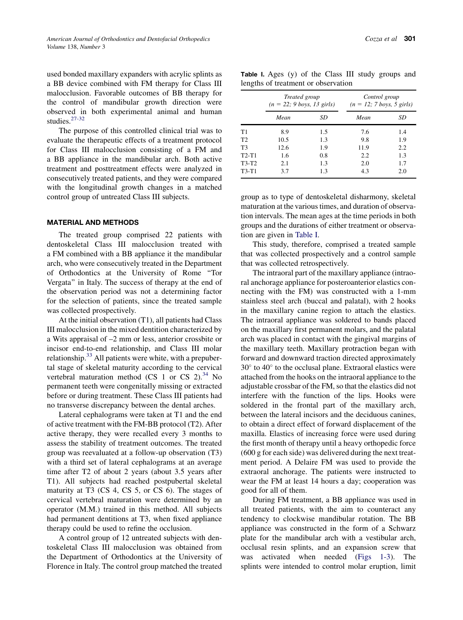used bonded maxillary expanders with acrylic splints as a BB device combined with FM therapy for Class III malocclusion. Favorable outcomes of BB therapy for the control of mandibular growth direction were observed in both experimental animal and human studies.<sup>[27-32](#page-9-0)</sup>

The purpose of this controlled clinical trial was to evaluate the therapeutic effects of a treatment protocol for Class III malocclusion consisting of a FM and a BB appliance in the mandibular arch. Both active treatment and posttreatment effects were analyzed in consecutively treated patients, and they were compared with the longitudinal growth changes in a matched control group of untreated Class III subjects.

### MATERIAL AND METHODS

The treated group comprised 22 patients with dentoskeletal Class III malocclusion treated with a FM combined with a BB appliance it the mandibular arch, who were consecutively treated in the Department of Orthodontics at the University of Rome ''Tor Vergata'' in Italy. The success of therapy at the end of the observation period was not a determining factor for the selection of patients, since the treated sample was collected prospectively.

At the initial observation (T1), all patients had Class III malocclusion in the mixed dentition characterized by a Wits appraisal of –2 mm or less, anterior crossbite or incisor end-to-end relationship, and Class III molar relationship.<sup>[33](#page-9-0)</sup> All patients were white, with a prepubertal stage of skeletal maturity according to the cervical vertebral maturation method (CS 1 or CS 2). $34$  No permanent teeth were congenitally missing or extracted before or during treatment. These Class III patients had no transverse discrepancy between the dental arches.

Lateral cephalograms were taken at T1 and the end of active treatment with the FM-BB protocol (T2). After active therapy, they were recalled every 3 months to assess the stability of treatment outcomes. The treated group was reevaluated at a follow-up observation (T3) with a third set of lateral cephalograms at an average time after T2 of about 2 years (about 3.5 years after T1). All subjects had reached postpubertal skeletal maturity at T3 (CS 4, CS 5, or CS 6). The stages of cervical vertebral maturation were determined by an operator (M.M.) trained in this method. All subjects had permanent dentitions at T3, when fixed appliance therapy could be used to refine the occlusion.

A control group of 12 untreated subjects with dentoskeletal Class III malocclusion was obtained from the Department of Orthodontics at the University of Florence in Italy. The control group matched the treated

| Table I. Ages (y) of the Class III study groups and |  |  |  |  |
|-----------------------------------------------------|--|--|--|--|
| lengths of treatment or observation                 |  |  |  |  |

|                | Treated group<br>$(n = 22; 9 \text{ boys}, 13 \text{ girls})$ |     | Control group<br>$(n = 12; 7 boys, 5 girls)$ |     |  |  |  |
|----------------|---------------------------------------------------------------|-----|----------------------------------------------|-----|--|--|--|
|                | Mean                                                          | SD  | Mean                                         | SD  |  |  |  |
| Τ1             | 8.9                                                           | 1.5 | 7.6                                          | 1.4 |  |  |  |
| T <sub>2</sub> | 10.5                                                          | 1.3 | 9.8                                          | 1.9 |  |  |  |
| T3             | 12.6                                                          | 1.9 | 11.9                                         | 2.2 |  |  |  |
| T2-T1          | 1.6                                                           | 0.8 | 2.2                                          | 1.3 |  |  |  |
| T3-T2          | 2.1                                                           | 1.3 | 2.0                                          | 1.7 |  |  |  |
| $T3-T1$        | 3.7                                                           | 1.3 | 4.3                                          | 2.0 |  |  |  |

group as to type of dentoskeletal disharmony, skeletal maturation at the various times, and duration of observation intervals. The mean ages at the time periods in both groups and the durations of either treatment or observation are given in Table I.

This study, therefore, comprised a treated sample that was collected prospectively and a control sample that was collected retrospectively.

The intraoral part of the maxillary appliance (intraoral anchorage appliance for posteroanterior elastics connecting with the FM) was constructed with a 1-mm stainless steel arch (buccal and palatal), with 2 hooks in the maxillary canine region to attach the elastics. The intraoral appliance was soldered to bands placed on the maxillary first permanent molars, and the palatal arch was placed in contact with the gingival margins of the maxillary teeth. Maxillary protraction began with forward and downward traction directed approximately 30° to 40° to the occlusal plane. Extraoral elastics were attached from the hooks on the intraoral appliance to the adjustable crossbar of the FM, so that the elastics did not interfere with the function of the lips. Hooks were soldered in the frontal part of the maxillary arch, between the lateral incisors and the deciduous canines, to obtain a direct effect of forward displacement of the maxilla. Elastics of increasing force were used during the first month of therapy until a heavy orthopedic force (600 g for each side) was delivered during the next treatment period. A Delaire FM was used to provide the extraoral anchorage. The patients were instructed to wear the FM at least 14 hours a day; cooperation was good for all of them.

During FM treatment, a BB appliance was used in all treated patients, with the aim to counteract any tendency to clockwise mandibular rotation. The BB appliance was constructed in the form of a Schwarz plate for the mandibular arch with a vestibular arch, occlusal resin splints, and an expansion screw that was activated when needed [\(Figs 1-3](#page-2-0)). The splints were intended to control molar eruption, limit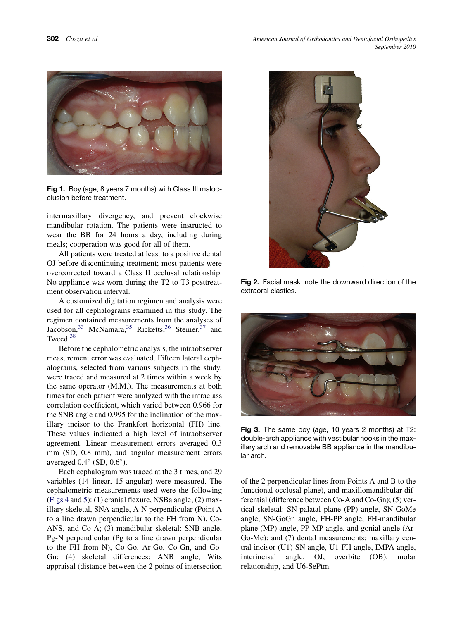<span id="page-2-0"></span>

Fig 1. Boy (age, 8 years 7 months) with Class III malocclusion before treatment.

intermaxillary divergency, and prevent clockwise mandibular rotation. The patients were instructed to wear the BB for 24 hours a day, including during meals; cooperation was good for all of them.

All patients were treated at least to a positive dental OJ before discontinuing treatment; most patients were overcorrected toward a Class II occlusal relationship. No appliance was worn during the T2 to T3 posttreatment observation interval.

A customized digitation regimen and analysis were used for all cephalograms examined in this study. The regimen contained measurements from the analyses of Jacobson,  $33$  McNamara,  $35$  Ricketts,  $36$  Steiner,  $37$  and Tweed.[38](#page-10-0)

Before the cephalometric analysis, the intraobserver measurement error was evaluated. Fifteen lateral cephalograms, selected from various subjects in the study, were traced and measured at 2 times within a week by the same operator (M.M.). The measurements at both times for each patient were analyzed with the intraclass correlation coefficient, which varied between 0.966 for the SNB angle and 0.995 for the inclination of the maxillary incisor to the Frankfort horizontal (FH) line. These values indicated a high level of intraobserver agreement. Linear measurement errors averaged 0.3 mm (SD, 0.8 mm), and angular measurement errors averaged  $0.4^{\circ}$  (SD,  $0.6^{\circ}$ ).

Each cephalogram was traced at the 3 times, and 29 variables (14 linear, 15 angular) were measured. The cephalometric measurements used were the following ([Figs 4](#page-3-0) and [5](#page-3-0)): (1) cranial flexure, NSBa angle; (2) maxillary skeletal, SNA angle, A-N perpendicular (Point A to a line drawn perpendicular to the FH from N), Co-ANS, and Co-A; (3) mandibular skeletal: SNB angle, Pg-N perpendicular (Pg to a line drawn perpendicular to the FH from N), Co-Go, Ar-Go, Co-Gn, and Go-Gn; (4) skeletal differences: ANB angle, Wits appraisal (distance between the 2 points of intersection



Fig 2. Facial mask: note the downward direction of the extraoral elastics.



Fig 3. The same boy (age, 10 years 2 months) at T2: double-arch appliance with vestibular hooks in the maxillary arch and removable BB appliance in the mandibular arch.

of the 2 perpendicular lines from Points A and B to the functional occlusal plane), and maxillomandibular differential (difference between Co-A and Co-Gn); (5) vertical skeletal: SN-palatal plane (PP) angle, SN-GoMe angle, SN-GoGn angle, FH-PP angle, FH-mandibular plane (MP) angle, PP-MP angle, and gonial angle (Ar-Go-Me); and (7) dental measurements: maxillary central incisor (U1)-SN angle, U1-FH angle, IMPA angle, interincisal angle, OJ, overbite (OB), molar relationship, and U6-SePtm.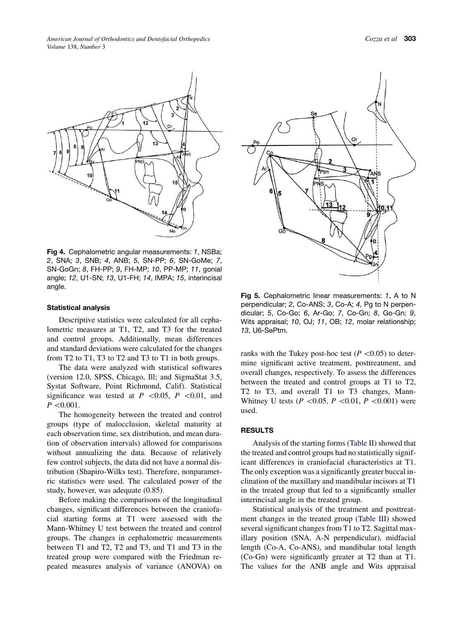<span id="page-3-0"></span>

Fig 4. Cephalometric angular measurements: *1*, NSBa; *2*, SNA; *3*, SNB; *4*, ANB; *5*, SN-PP; *6*, SN-GoMe; *7*, SN-GoGn; *8*, FH-PP; *9*, FH-MP; *10*, PP-MP; *11*, gonial angle; *12*, U1-SN; *13*, U1-FH; *14*, IMPA; *15*, interincisal angle.

#### Statistical analysis

Descriptive statistics were calculated for all cephalometric measures at T1, T2, and T3 for the treated and control groups. Additionally, mean differences and standard deviations were calculated for the changes from T2 to T1, T3 to T2 and T3 to T1 in both groups.

The data were analyzed with statistical softwares (version 12.0, SPSS, Chicago, Ill; and SigmaStat 3.5, Systat Software, Point Richmond, Calif). Statistical significance was tested at  $P \le 0.05$ ,  $P \le 0.01$ , and  $P < 0.001$ .

The homogeneity between the treated and control groups (type of malocclusion, skeletal maturity at each observation time, sex distribution, and mean duration of observation intervals) allowed for comparisons without annualizing the data. Because of relatively few control subjects, the data did not have a normal distribution (Shapiro-Wilks test). Therefore, nonparametric statistics were used. The calculated power of the study, however, was adequate (0.85).

Before making the comparisons of the longitudinal changes, significant differences between the craniofacial starting forms at T1 were assessed with the Mann-Whitney U test between the treated and control groups. The changes in cephalometric measurements between T1 and T2, T2 and T3, and T1 and T3 in the treated group were compared with the Friedman repeated measures analysis of variance (ANOVA) on



Fig 5. Cephalometric linear measurements: *1*, A to N perpendicular; *2*, Co-ANS; *3*, Co-A; *4*, Pg to N perpendicular; *5*, Co-Go; *6*, Ar-Go; *7*, Co-Gn; *8*, Go-Gn; *9*, Wits appraisal; *10*, OJ; *11*, OB; *12*, molar relationship; *13*, U6-SePtm.

ranks with the Tukey post-hoc test ( $P \lt 0.05$ ) to determine significant active treatment, posttreatment, and overall changes, respectively. To assess the differences between the treated and control groups at T1 to T2, T2 to T3, and overall T1 to T3 changes, Mann-Whitney U tests ( $P \le 0.05$ ,  $P \le 0.01$ ,  $P \le 0.001$ ) were used.

## RESULTS

Analysis of the starting forms ([Table II\)](#page-4-0) showed that the treated and control groups had no statistically significant differences in craniofacial characteristics at T1. The only exception was a significantly greater buccal inclination of the maxillary and mandibular incisors at T1 in the treated group that led to a significantly smaller interincisal angle in the treated group.

Statistical analysis of the treatment and posttreatment changes in the treated group ([Table III](#page-5-0)) showed several significant changes from T1 to T2. Sagittal maxillary position (SNA, A-N perpendicular), midfacial length (Co-A, Co-ANS), and mandibular total length (Co-Gn) were significantly greater at T2 than at T1. The values for the ANB angle and Wits appraisal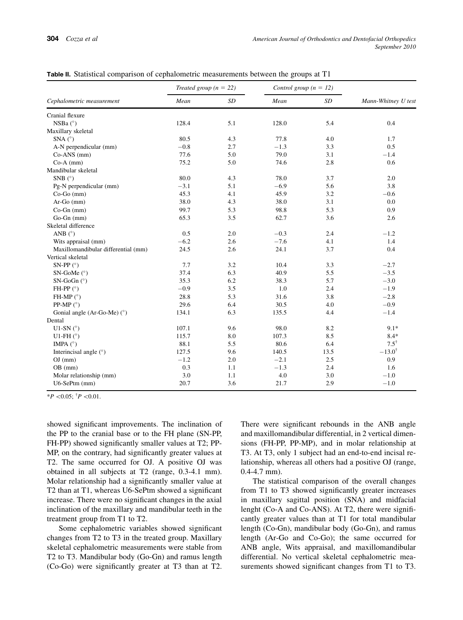<span id="page-4-0"></span>

| Table II. Statistical comparison of cephalometric measurements between the groups at T1 |  |  |  |  |  |
|-----------------------------------------------------------------------------------------|--|--|--|--|--|
|-----------------------------------------------------------------------------------------|--|--|--|--|--|

|                                     | Treated group $(n = 22)$ |     | Control group $(n = 12)$ |      | Mann-Whitney U test |  |
|-------------------------------------|--------------------------|-----|--------------------------|------|---------------------|--|
| Cephalometric measurement           | Mean                     | SD  | Mean                     | SD   |                     |  |
| Cranial flexure                     |                          |     |                          |      |                     |  |
| NSBa (°)                            | 128.4                    | 5.1 | 128.0                    | 5.4  | 0.4                 |  |
| Maxillary skeletal                  |                          |     |                          |      |                     |  |
| SNA $(^{\circ})$                    | 80.5                     | 4.3 | 77.8                     | 4.0  | 1.7                 |  |
| A-N perpendicular (mm)              | $-0.8$                   | 2.7 | $-1.3$                   | 3.3  | 0.5                 |  |
| Co-ANS (mm)                         | 77.6                     | 5.0 | 79.0                     | 3.1  | $-1.4$              |  |
| $Co-A$ (mm)                         | 75.2                     | 5.0 | 74.6                     | 2.8  | 0.6                 |  |
| Mandibular skeletal                 |                          |     |                          |      |                     |  |
| SNB $(^{\circ})$                    | 80.0                     | 4.3 | 78.0                     | 3.7  | 2.0                 |  |
| Pg-N perpendicular (mm)             | $-3.1$                   | 5.1 | $-6.9$                   | 5.6  | 3.8                 |  |
| $Co-Go$ (mm)                        | 45.3                     | 4.1 | 45.9                     | 3.2  | $-0.6$              |  |
| $Ar-Go$ (mm)                        | 38.0                     | 4.3 | 38.0                     | 3.1  | 0.0                 |  |
| $Co-Gn$ (mm)                        | 99.7                     | 5.3 | 98.8                     | 5.3  | 0.9                 |  |
| $Go-Gn$ (mm)                        | 65.3                     | 3.5 | 62.7                     | 3.6  | 2.6                 |  |
| Skeletal difference                 |                          |     |                          |      |                     |  |
| ANB $(^{\circ})$                    | 0.5                      | 2.0 | $-0.3$                   | 2.4  | $-1.2$              |  |
| Wits appraisal (mm)                 | $-6.2$                   | 2.6 | $-7.6$                   | 4.1  | 1.4                 |  |
| Maxillomandibular differential (mm) | 24.5                     | 2.6 | 24.1                     | 3.7  | 0.4                 |  |
| Vertical skeletal                   |                          |     |                          |      |                     |  |
| SN-PP $(°)$                         | 7.7                      | 3.2 | 10.4                     | 3.3  | $-2.7$              |  |
| SN-GoMe $(^{\circ})$                | 37.4                     | 6.3 | 40.9                     | 5.5  | $-3.5$              |  |
| $SN-GoGn$ ( $°$ )                   | 35.3                     | 6.2 | 38.3                     | 5.7  | $-3.0$              |  |
| FH-PP $(^{\circ})$                  | $-0.9$                   | 3.5 | 1.0                      | 2.4  | $-1.9$              |  |
| FH-MP $(^{\circ})$                  | 28.8                     | 5.3 | 31.6                     | 3.8  | $-2.8$              |  |
| PP-MP $(^{\circ})$                  | 29.6                     | 6.4 | 30.5                     | 4.0  | $-0.9$              |  |
| Gonial angle (Ar-Go-Me) $(°)$       | 134.1                    | 6.3 | 135.5                    | 4.4  | $-1.4$              |  |
| Dental                              |                          |     |                          |      |                     |  |
| U1-SN $(^{\circ})$                  | 107.1                    | 9.6 | 98.0                     | 8.2  | $9.1*$              |  |
| U1-FH $(^\circ)$                    | 115.7                    | 8.0 | 107.3                    | 8.5  | $8.4*$              |  |
| IMPA $(^{\circ})$                   | 88.1                     | 5.5 | 80.6                     | 6.4  | $7.5^{\dagger}$     |  |
| Interincisal angle $(°)$            | 127.5                    | 9.6 | 140.5                    | 13.5 | $-13.0^{\dagger}$   |  |
| $OJ$ (mm)                           | $-1.2$                   | 2.0 | $-2.1$                   | 2.5  | 0.9                 |  |
| $OB$ (mm)                           | 0.3                      | 1.1 | $-1.3$                   | 2.4  | 1.6                 |  |
| Molar relationship (mm)             | 3.0                      | 1.1 | 4.0                      | 3.0  | $-1.0$              |  |
| U6-SePtm (mm)                       | 20.7                     | 3.6 | 21.7                     | 2.9  | $-1.0$              |  |

 $*P < 0.05$ ;  $\frac{4}{3}P < 0.01$ .

showed significant improvements. The inclination of the PP to the cranial base or to the FH plane (SN-PP, FH-PP) showed significantly smaller values at T2; PP-MP, on the contrary, had significantly greater values at T2. The same occurred for OJ. A positive OJ was obtained in all subjects at T2 (range, 0.3-4.1 mm). Molar relationship had a significantly smaller value at T2 than at T1, whereas U6-SePtm showed a significant increase. There were no significant changes in the axial inclination of the maxillary and mandibular teeth in the treatment group from T1 to T2.

Some cephalometric variables showed significant changes from T2 to T3 in the treated group. Maxillary skeletal cephalometric measurements were stable from T2 to T3. Mandibular body (Go-Gn) and ramus length (Co-Go) were significantly greater at T3 than at T2. There were significant rebounds in the ANB angle and maxillomandibular differential, in 2 vertical dimensions (FH-PP, PP-MP), and in molar relationship at T3. At T3, only 1 subject had an end-to-end incisal relationship, whereas all others had a positive OJ (range, 0.4-4.7 mm).

The statistical comparison of the overall changes from T1 to T3 showed significantly greater increases in maxillary sagittal position (SNA) and midfacial lenght (Co-A and Co-ANS). At T2, there were significantly greater values than at T1 for total mandibular length (Co-Gn), mandibular body (Go-Gn), and ramus length (Ar-Go and Co-Go); the same occurred for ANB angle, Wits appraisal, and maxillomandibular differential. No vertical skeletal cephalometric measurements showed significant changes from T1 to T3.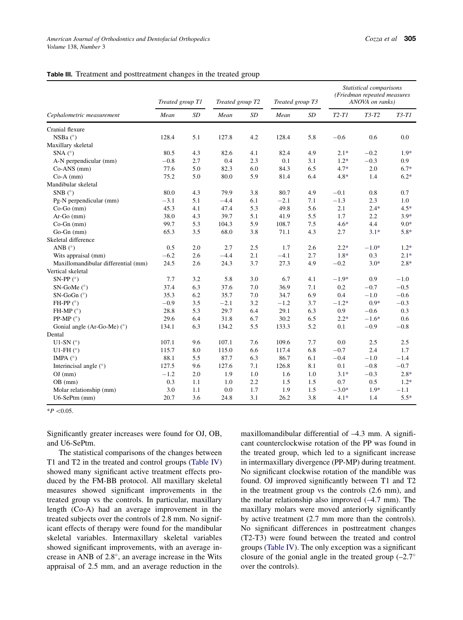<span id="page-5-0"></span>

| Table III. Treatment and posttreatment changes in the treated group |  |
|---------------------------------------------------------------------|--|
|---------------------------------------------------------------------|--|

|                                     |                  |     | Treated group T2 |     | Treated group T3 |     | Statistical comparisons<br>(Friedman repeated measures<br>ANOVA on ranks) |         |         |  |
|-------------------------------------|------------------|-----|------------------|-----|------------------|-----|---------------------------------------------------------------------------|---------|---------|--|
|                                     | Treated group T1 |     |                  |     |                  |     |                                                                           |         |         |  |
| Cephalometric measurement           | Mean             | SD  | Mean             | SD  | Mean             | SD  | $T2-T1$                                                                   | $T3-T2$ | $T3-T1$ |  |
| Cranial flexure                     |                  |     |                  |     |                  |     |                                                                           |         |         |  |
| NSBa $(^{\circ})$                   | 128.4            | 5.1 | 127.8            | 4.2 | 128.4            | 5.8 | $-0.6$                                                                    | 0.6     | 0.0     |  |
| Maxillary skeletal                  |                  |     |                  |     |                  |     |                                                                           |         |         |  |
| SNA $(^{\circ})$                    | 80.5             | 4.3 | 82.6             | 4.1 | 82.4             | 4.9 | $2.1*$                                                                    | $-0.2$  | $1.9*$  |  |
| A-N perpendicular (mm)              | $-0.8$           | 2.7 | 0.4              | 2.3 | 0.1              | 3.1 | $1.2*$                                                                    | $-0.3$  | 0.9     |  |
| $Co-ANS$ (mm)                       | 77.6             | 5.0 | 82.3             | 6.0 | 84.3             | 6.5 | $4.7*$                                                                    | 2.0     | $6.7*$  |  |
| $Co-A$ (mm)                         | 75.2             | 5.0 | 80.0             | 5.9 | 81.4             | 6.4 | $4.8*$                                                                    | 1.4     | $6.2*$  |  |
| Mandibular skeletal                 |                  |     |                  |     |                  |     |                                                                           |         |         |  |
| SNB $(^{\circ})$                    | 80.0             | 4.3 | 79.9             | 3.8 | 80.7             | 4.9 | $-0.1$                                                                    | 0.8     | 0.7     |  |
| Pg-N perpendicular (mm)             | $-3.1$           | 5.1 | $-4.4$           | 6.1 | $-2.1$           | 7.1 | $-1.3$                                                                    | 2.3     | 1.0     |  |
| $Co-Go$ (mm)                        | 45.3             | 4.1 | 47.4             | 5.3 | 49.8             | 5.6 | 2.1                                                                       | $2.4*$  | $4.5*$  |  |
| $Ar-Go$ (mm)                        | 38.0             | 4.3 | 39.7             | 5.1 | 41.9             | 5.5 | 1.7                                                                       | 2.2     | $3.9*$  |  |
| $Co-Gn$ (mm)                        | 99.7             | 5.3 | 104.3            | 5.9 | 108.7            | 7.5 | $4.6*$                                                                    | 4.4     | $9.0*$  |  |
| $Go-Gn$ (mm)                        | 65.3             | 3.5 | 68.0             | 3.8 | 71.1             | 4.3 | 2.7                                                                       | $3.1*$  | $5.8*$  |  |
| Skeletal difference                 |                  |     |                  |     |                  |     |                                                                           |         |         |  |
| ANB $(^{\circ})$                    | 0.5              | 2.0 | 2.7              | 2.5 | 1.7              | 2.6 | $2.2*$                                                                    | $-1.0*$ | $1.2*$  |  |
| Wits appraisal (mm)                 | $-6.2$           | 2.6 | $-4.4$           | 2.1 | $-4.1$           | 2.7 | $1.8*$                                                                    | 0.3     | $2.1*$  |  |
| Maxillomandibular differential (mm) | 24.5             | 2.6 | 24.3             | 3.7 | 27.3             | 4.9 | $-0.2$                                                                    | $3.0*$  | $2.8*$  |  |
| Vertical skeletal                   |                  |     |                  |     |                  |     |                                                                           |         |         |  |
| SN-PP $(^{\circ})$                  | 7.7              | 3.2 | 5.8              | 3.0 | 6.7              | 4.1 | $-1.9*$                                                                   | 0.9     | $-1.0$  |  |
| SN-GoMe $(^{\circ})$                | 37.4             | 6.3 | 37.6             | 7.0 | 36.9             | 7.1 | 0.2                                                                       | $-0.7$  | $-0.5$  |  |
| $SN-GoGn$ ( $°$ )                   | 35.3             | 6.2 | 35.7             | 7.0 | 34.7             | 6.9 | 0.4                                                                       | $-1.0$  | $-0.6$  |  |
| FH-PP $(^{\circ})$                  | $-0.9$           | 3.5 | $-2.1$           | 3.2 | $-1.2$           | 3.7 | $-1.2*$                                                                   | $0.9*$  | $-0.3$  |  |
| FH-MP $(^{\circ})$                  | 28.8             | 5.3 | 29.7             | 6.4 | 29.1             | 6.3 | 0.9                                                                       | $-0.6$  | 0.3     |  |
| PP-MP $(^{\circ})$                  | 29.6             | 6.4 | 31.8             | 6.7 | 30.2             | 6.5 | $2.2*$                                                                    | $-1.6*$ | 0.6     |  |
| Gonial angle (Ar-Go-Me) (°)         | 134.1            | 6.3 | 134.2            | 5.5 | 133.3            | 5.2 | 0.1                                                                       | $-0.9$  | $-0.8$  |  |
| Dental                              |                  |     |                  |     |                  |     |                                                                           |         |         |  |
| U1-SN $(^{\circ})$                  | 107.1            | 9.6 | 107.1            | 7.6 | 109.6            | 7.7 | 0.0                                                                       | 2.5     | 2.5     |  |
| U1-FH $(^\circ)$                    | 115.7            | 8.0 | 115.0            | 6.6 | 117.4            | 6.8 | $-0.7$                                                                    | 2.4     | 1.7     |  |
| IMPA $(^{\circ})$                   | 88.1             | 5.5 | 87.7             | 6.3 | 86.7             | 6.1 | $-0.4$                                                                    | $-1.0$  | $-1.4$  |  |
| Interincisal angle $(°)$            | 127.5            | 9.6 | 127.6            | 7.1 | 126.8            | 8.1 | 0.1                                                                       | $-0.8$  | $-0.7$  |  |
| $OJ$ (mm)                           | $-1.2$           | 2.0 | 1.9              | 1.0 | 1.6              | 1.0 | $3.1*$                                                                    | $-0.3$  | $2.8*$  |  |
| $OB$ (mm)                           | 0.3              | 1.1 | 1.0              | 2.2 | 1.5              | 1.5 | 0.7                                                                       | 0.5     | $1.2*$  |  |
| Molar relationship (mm)             | 3.0              | 1.1 | 0.0              | 1.7 | 1.9              | 1.5 | $-3.0*$                                                                   | $1.9*$  | $-1.1$  |  |
| $U6-SePtm$ (mm)                     | 20.7             | 3.6 | 24.8             | 3.1 | 26.2             | 3.8 | $4.1*$                                                                    | 1.4     | $5.5*$  |  |

 $*P < 0.05$ .

Significantly greater increases were found for OJ, OB, and U6-SePtm.

The statistical comparisons of the changes between T1 and T2 in the treated and control groups ([Table IV](#page-6-0)) showed many significant active treatment effects produced by the FM-BB protocol. All maxillary skeletal measures showed significant improvements in the treated group vs the controls. In particular, maxillary length (Co-A) had an average improvement in the treated subjects over the controls of 2.8 mm. No significant effects of therapy were found for the mandibular skeletal variables. Intermaxillary skeletal variables showed significant improvements, with an average increase in ANB of 2.8°, an average increase in the Wits appraisal of 2.5 mm, and an average reduction in the maxillomandibular differential of –4.3 mm. A significant counterclockwise rotation of the PP was found in the treated group, which led to a significant increase in intermaxillary divergence (PP-MP) during treatment. No significant clockwise rotation of the mandible was found. OJ improved significantly between T1 and T2 in the treatment group vs the controls (2.6 mm), and the molar relationship also improved (–4.7 mm). The maxillary molars were moved anteriorly significantly by active treatment (2.7 mm more than the controls). No significant differences in posttreatment changes (T2-T3) were found between the treated and control groups [\(Table IV](#page-6-0)). The only exception was a significant closure of the gonial angle in the treated group  $(-2.7^{\circ})$ over the controls).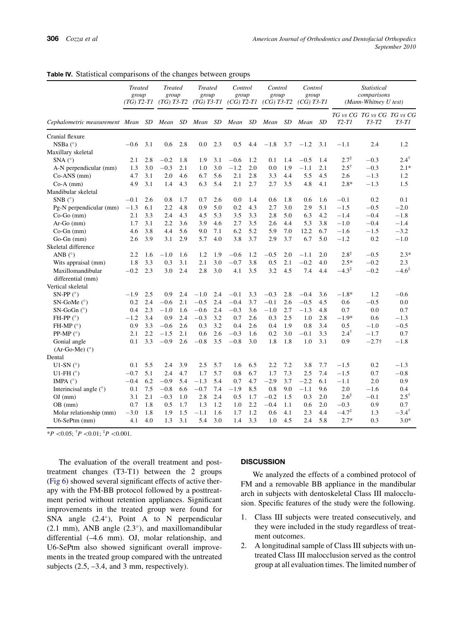|                                                   | <b>Treated</b><br>group<br>$(TG)$ T2-T1 |     | <b>Treated</b><br>group<br>$(TG)$ T3-T2 |     | <b>Treated</b><br>group<br>$(TG)$ T3-T1 |     | Control<br>group<br>$(CG)$ T2-T1 |     | Control<br>group<br>$(CG)$ T3-T2 |     | Control<br>group<br>$(CG)$ T3-T1 |           | Statistical<br>comparisons<br>(Mann-Whitney U test) |                                     |                   |
|---------------------------------------------------|-----------------------------------------|-----|-----------------------------------------|-----|-----------------------------------------|-----|----------------------------------|-----|----------------------------------|-----|----------------------------------|-----------|-----------------------------------------------------|-------------------------------------|-------------------|
| Cephalometric measurement Mean SD Mean SD Mean SD |                                         |     |                                         |     |                                         |     | Mean                             | SD  | Mean                             | SD  | Mean                             | <b>SD</b> | $T2-T1$                                             | TG vs CG TG vs CG TG vs CG<br>T3-T2 | <i>T3-T1</i>      |
| Cranial flexure                                   |                                         |     |                                         |     |                                         |     |                                  |     |                                  |     |                                  |           |                                                     |                                     |                   |
| NSBa (°)                                          | $-0.6$                                  | 3.1 | 0.6                                     | 2.8 | 0.0                                     | 2.3 | 0.5                              | 4.4 | $-1.8$                           | 3.7 | $-1.2$                           | 3.1       | $-1.1$                                              | 2.4                                 | 1.2               |
| Maxillary skeletal                                |                                         |     |                                         |     |                                         |     |                                  |     |                                  |     |                                  |           |                                                     |                                     |                   |
| $SNA(^{\circ})$                                   | 2.1                                     | 2.8 | $-0.2$                                  | 1.8 | 1.9                                     | 3.1 | $-0.6$                           | 1.2 | 0.1                              | 1.4 | $-0.5$                           | 1.4       | $2.7^{\ddagger}$                                    | $-0.3$                              | $2.4^{\dagger}$   |
| A-N perpendicular (mm)                            | 1.3                                     | 3.0 | $-0.3$                                  | 2.1 | 1.0                                     | 3.0 | $-1.2$                           | 2.0 | 0.0                              | 1.9 | $-1.1$                           | 2.1       | $2.5^{\dagger}$                                     | $-0.3$                              | $2.1*$            |
| $Co-ANS$ (mm)                                     | 4.7                                     | 3.1 | 2.0                                     | 4.6 | 6.7                                     | 5.6 | 2.1                              | 2.8 | 3.3                              | 4.4 | 5.5                              | 4.5       | 2.6                                                 | $-1.3$                              | 1.2               |
| $Co-A$ (mm)                                       | 4.9                                     | 3.1 | 1.4                                     | 4.3 | 6.3                                     | 5.4 | 2.1                              | 2.7 | 2.7                              | 3.5 | 4.8                              | 4.1       | $2.8*$                                              | $-1.3$                              | 1.5               |
| Mandibular skeletal                               |                                         |     |                                         |     |                                         |     |                                  |     |                                  |     |                                  |           |                                                     |                                     |                   |
| SNB $(^{\circ})$                                  | $-0.1$                                  | 2.6 | 0.8                                     | 1.7 | 0.7                                     | 2.6 | 0.0                              | 1.4 | 0.6                              | 1.8 | 0.6                              | 1.6       | $-0.1$                                              | 0.2                                 | 0.1               |
| Pg-N perpendicular (mm)                           | $-1.3$                                  | 6.1 | 2.2                                     | 4.8 | 0.9                                     | 5.0 | 0.2                              | 4.3 | 2.7                              | 3.0 | 2.9                              | 5.1       | $-1.5$                                              | $-0.5$                              | $-2.0$            |
| $Co-Go$ (mm)                                      | 2.1                                     | 3.3 | 2.4                                     | 4.3 | 4.5                                     | 5.3 | 3.5                              | 3.3 | 2.8                              | 5.0 | 6.3                              | 4.2       | $-1.4$                                              | $-0.4$                              | $-1.8$            |
| $Ar-Go$ (mm)                                      | 1.7                                     | 3.1 | 2.2                                     | 3.6 | 3.9                                     | 4.6 | 2.7                              | 3.5 | 2.6                              | 4.4 | 5.3                              | 3.8       | $-1.0$                                              | $-0.4$                              | $-1.4$            |
| $Co-Gn$ (mm)                                      | 4.6                                     | 3.8 | 4.4                                     | 5.6 | 9.0                                     | 7.1 | 6.2                              | 5.2 | 5.9                              | 7.0 | 12.2                             | 6.7       | $-1.6$                                              | $-1.5$                              | $-3.2$            |
| $Go-Gn$ (mm)                                      | 2.6                                     | 3.9 | 3.1                                     | 2.9 | 5.7                                     | 4.0 | 3.8                              | 3.7 | 2.9                              | 3.7 | 6.7                              | 5.0       | $-1.2$                                              | 0.2                                 | $-1.0$            |
| Skeletal difference                               |                                         |     |                                         |     |                                         |     |                                  |     |                                  |     |                                  |           |                                                     |                                     |                   |
| ANB $(^{\circ})$                                  | 2.2                                     | 1.6 | $-1.0$                                  | 1.6 | 1.2                                     | 1.9 | $-0.6$                           | 1.2 | $-0.5$                           | 2.0 | $-1.1$                           | 2.0       | $2.8^{\ddagger}$                                    | $-0.5$                              | $2.3*$            |
| Wits appraisal (mm)                               | 1.8                                     | 3.3 | 0.3                                     | 3.1 | 2.1                                     | 3.0 | $-0.7$                           | 3.8 | 0.5                              | 2.1 | $-0.2$                           | 4.0       | $2.5*$                                              | $-0.2$                              | 2.3               |
| Maxillomandibular<br>differential (mm)            | $-0.2$                                  | 2.3 | 3.0                                     | 2.4 | 2.8                                     | 3.0 | 4.1                              | 3.5 | 3.2                              | 4.5 | 7.4                              | 4.4       | $-4.3^{\ddagger}$                                   | $-0.2$                              | $-4.6^{\ddagger}$ |
| Vertical skeletal                                 |                                         |     |                                         |     |                                         |     |                                  |     |                                  |     |                                  |           |                                                     |                                     |                   |
| SN-PP $(°)$                                       | $-1.9$                                  | 2.5 | 0.9                                     | 2.4 | $-1.0$                                  | 2.4 | $-0.1$                           | 3.3 | $-0.3$                           | 2.8 | $-0.4$                           | 3.6       | $-1.8*$                                             | 1.2                                 | $-0.6$            |
| $SN-GoMe$ ( $°$ )                                 | 0.2                                     | 2.4 | $-0.6$                                  | 2.1 | $-0.5$                                  | 2.4 | $-0.4$                           | 3.7 | $-0.1$                           | 2.6 | $-0.5$                           | 4.5       | 0.6                                                 | $-0.5$                              | 0.0               |
| SN-GoGn $(^{\circ})$                              | 0.4                                     | 2.3 | $-1.0$                                  | 1.6 | $-0.6$                                  | 2.4 | $-0.3$                           | 3.6 | $-1.0$                           | 2.7 | $-1.3$                           | 4.8       | 0.7                                                 | 0.0                                 | 0.7               |
| FH-PP $(°)$                                       | $-1.2$                                  | 3.4 | 0.9                                     | 2.4 | $-0.3$                                  | 3.2 | 0.7                              | 2.6 | 0.3                              | 2.5 | 1.0                              | 2.8       | $-1.9*$                                             | 0.6                                 | $-1.3$            |
| FH-MP $(^{\circ})$                                | 0.9                                     | 3.3 | $-0.6$                                  | 2.6 | 0.3                                     | 3.2 | 0.4                              | 2.6 | 0.4                              | 1.9 | 0.8                              | 3.4       | 0.5                                                 | $-1.0$                              | $-0.5$            |
| PP-MP $(°)$                                       | 2.1                                     | 2.2 | $-1.5$                                  | 2.1 | 0.6                                     | 2.6 | $-0.3$                           | 1.6 | 0.2                              | 3.0 | $-0.1$                           | 3.3       | $2.4^{\dagger}$                                     | $-1.7$                              | 0.7               |
| Gonial angle                                      | 0.1                                     | 3.3 | $-0.9$                                  | 2.6 | $-0.8$                                  | 3.5 | $-0.8$                           | 3.0 | 1.8                              | 1.8 | 1.0                              | 3.1       | 0.9                                                 | $-2.7\dagger$                       | $-1.8$            |
| $(Ar-Go-Me)$ (°)                                  |                                         |     |                                         |     |                                         |     |                                  |     |                                  |     |                                  |           |                                                     |                                     |                   |
| Dental                                            |                                         |     |                                         |     |                                         |     |                                  |     |                                  |     |                                  |           |                                                     |                                     |                   |
| U1-SN $(^{\circ})$                                | 0.1                                     | 5.5 | 2.4                                     | 3.9 | 2.5                                     | 5.7 | 1.6                              | 6.5 | 2.2                              | 7.2 | 3.8                              | 7.7       | $-1.5$                                              | 0.2                                 | $-1.3$            |
| U1-FH $(^\circ)$                                  | $-0.7$                                  | 5.1 | 2.4                                     | 4.7 | 1.7                                     | 5.7 | 0.8                              | 6.7 | 1.7                              | 7.3 | 2.5                              | 7.4       | $-1.5$                                              | 0.7                                 | $-0.8$            |
| IMPA $(^\circ)$                                   | $-0.4$                                  | 6.2 | $-0.9$                                  | 5.4 | $-1.3$                                  | 5.4 | 0.7                              | 4.7 | $-2.9$                           | 3.7 | $-2.2$                           | 6.1       | $-1.1$                                              | 2.0                                 | 0.9               |
| Interincisal angle $(°)$                          | 0.1                                     | 7.5 | $-0.8$                                  | 6.6 | $-0.7$                                  | 7.4 | $-1.9$                           | 8.5 | 0.8                              | 9.0 | $-1.1$                           | 9.6       | 2.0                                                 | $-1.6$                              | 0.4               |
| $OJ$ (mm)                                         | 3.1                                     | 2.1 | $-0.3$                                  | 1.0 | 2.8                                     | 2.4 | 0.5                              | 1.7 | $-0.2$                           | 1.5 | 0.3                              | 2.0       | $2.6^{\ddagger}$                                    | $-0.1$                              | $2.5^{\dagger}$   |
| $OB$ (mm)                                         | 0.7                                     | 1.8 | 0.5                                     | 1.7 | 1.3                                     | 1.2 | 1.0                              | 2.2 | $-0.4$                           | 1.1 | 0.6                              | 2.0       | $-0.3$                                              | 0.9                                 | 0.7               |
| Molar relationship (mm)                           | $-3.0$                                  | 1.8 | 1.9                                     | 1.5 | $-1.1$                                  | 1.6 | 1.7                              | 1.2 | 0.6                              | 4.1 | 2.3                              | 4.4       | $-4.7^{\ddagger}$                                   | 1.3                                 | $-3.4^{\dagger}$  |
| $U6-SePtm$ (mm)                                   | 4.1                                     | 4.0 | 1.3                                     | 3.1 | 5.4                                     | 3.0 | 1.4                              | 3.3 | 1.0                              | 4.5 | 2.4                              | 5.8       | $2.7*$                                              | 0.3                                 | $3.0*$            |

<span id="page-6-0"></span>Table IV. Statistical comparisons of the changes between groups

 $*P < 0.05$ ;  $^{\dagger}P < 0.01$ ;  $^{\dagger}P < 0.001$ .

The evaluation of the overall treatment and posttreatment changes (T3-T1) between the 2 groups ([Fig 6](#page-7-0)) showed several significant effects of active therapy with the FM-BB protocol followed by a posttreatment period without retention appliances. Significant improvements in the treated group were found for SNA angle  $(2.4^{\circ})$ , Point A to N perpendicular  $(2.1 \text{ mm})$ , ANB angle  $(2.3^{\circ})$ , and maxillomandibular differential (–4.6 mm). OJ, molar relationship, and U6-SePtm also showed significant overall improvements in the treated group compared with the untreated subjects  $(2.5, -3.4, \text{ and } 3 \text{ mm}, \text{ respectively}).$ 

## **DISCUSSION**

We analyzed the effects of a combined protocol of FM and a removable BB appliance in the mandibular arch in subjects with dentoskeletal Class III malocclusion. Specific features of the study were the following.

- 1. Class III subjects were treated consecutively, and they were included in the study regardless of treatment outcomes.
- 2. A longitudinal sample of Class III subjects with untreated Class III malocclusion served as the control group at all evaluation times. The limited number of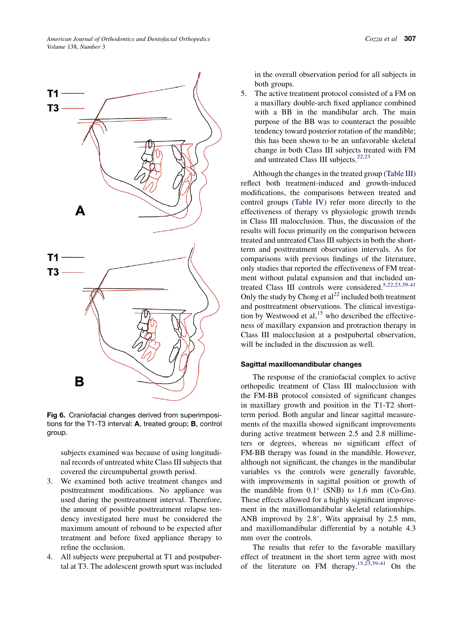<span id="page-7-0"></span>

Fig 6. Craniofacial changes derived from superimpositions for the T1-T3 interval: A, treated group; B, control group.

subjects examined was because of using longitudinal records of untreated white Class III subjects that covered the circumpubertal growth period.

- 3. We examined both active treatment changes and posttreatment modifications. No appliance was used during the posttreatment interval. Therefore, the amount of possible posttreatment relapse tendency investigated here must be considered the maximum amount of rebound to be expected after treatment and before fixed appliance therapy to refine the occlusion.
- 4. All subjects were prepubertal at T1 and postpubertal at T3. The adolescent growth spurt was included

in the overall observation period for all subjects in both groups.

5. The active treatment protocol consisted of a FM on a maxillary double-arch fixed appliance combined with a BB in the mandibular arch. The main purpose of the BB was to counteract the possible tendency toward posterior rotation of the mandible; this has been shown to be an unfavorable skeletal change in both Class III subjects treated with FM and untreated Class III subjects.<sup>[22,23](#page-9-0)</sup>

Although the changes in the treated group [\(Table III](#page-5-0)) reflect both treatment-induced and growth-induced modifications, the comparisons between treated and control groups [\(Table IV](#page-6-0)) refer more directly to the effectiveness of therapy vs physiologic growth trends in Class III malocclusion. Thus, the discussion of the results will focus primarily on the comparison between treated and untreated Class III subjects in both the shortterm and posttreatment observation intervals. As for comparisons with previous findings of the literature, only studies that reported the effectiveness of FM treatment without palatal expansion and that included un-treated Class III controls were considered.<sup>[5,22,23,39-41](#page-9-0)</sup> Only the study by Chong et  $al^{22}$  $al^{22}$  $al^{22}$  included both treatment and posttreatment observations. The clinical investigation by Westwood et al,  $15$  who described the effectiveness of maxillary expansion and protraction therapy in Class III malocclusion at a postpubertal observation, will be included in the discussion as well.

#### Sagittal maxillomandibular changes

The response of the craniofacial complex to active orthopedic treatment of Class III malocclusion with the FM-BB protocol consisted of significant changes in maxillary growth and position in the T1-T2 shortterm period. Both angular and linear sagittal measurements of the maxilla showed significant improvements during active treatment between 2.5 and 2.8 millimeters or degrees, whereas no significant effect of FM-BB therapy was found in the mandible. However, although not significant, the changes in the mandibular variables vs the controls were generally favorable, with improvements in sagittal position or growth of the mandible from  $0.1^{\circ}$  (SNB) to 1.6 mm (Co-Gn). These effects allowed for a highly significant improvement in the maxillomandibular skeletal relationships. ANB improved by  $2.8^{\circ}$ , Wits appraisal by  $2.5$  mm, and maxillomandibular differential by a notable 4.3 mm over the controls.

The results that refer to the favorable maxillary effect of treatment in the short term agree with most of the literature on FM therapy.<sup>[15,23,39-41](#page-9-0)</sup> On the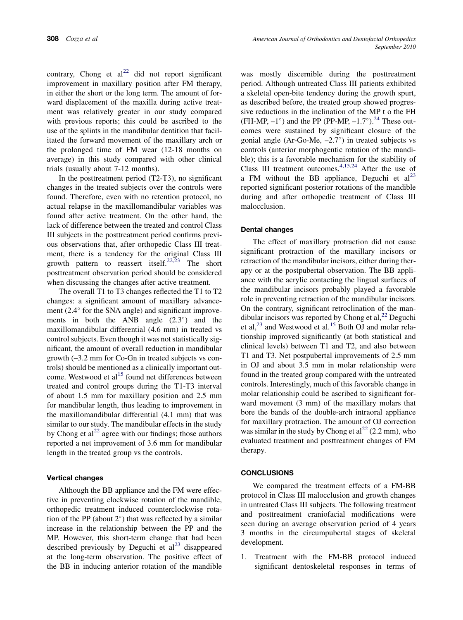contrary, Chong et  $al^{22}$  $al^{22}$  $al^{22}$  did not report significant improvement in maxillary position after FM therapy, in either the short or the long term. The amount of forward displacement of the maxilla during active treatment was relatively greater in our study compared with previous reports; this could be ascribed to the use of the splints in the mandibular dentition that facilitated the forward movement of the maxillary arch or the prolonged time of FM wear (12-18 months on average) in this study compared with other clinical trials (usually about 7-12 months).

In the posttreatment period (T2-T3), no significant changes in the treated subjects over the controls were found. Therefore, even with no retention protocol, no actual relapse in the maxillomandibular variables was found after active treatment. On the other hand, the lack of difference between the treated and control Class III subjects in the posttreatment period confirms previous observations that, after orthopedic Class III treatment, there is a tendency for the original Class III growth pattern to reassert itself.<sup>[22,23](#page-9-0)</sup> The short posttreatment observation period should be considered when discussing the changes after active treatment.

The overall T1 to T3 changes reflected the T1 to T2 changes: a significant amount of maxillary advancement  $(2.4^{\circ}$  for the SNA angle) and significant improvements in both the ANB angle  $(2.3^{\circ})$  and the maxillomandibular differential (4.6 mm) in treated vs control subjects. Even though it was not statistically significant, the amount of overall reduction in mandibular growth (–3.2 mm for Co-Gn in treated subjects vs controls) should be mentioned as a clinically important outcome. Westwood et al $15$  found net differences between treated and control groups during the T1-T3 interval of about 1.5 mm for maxillary position and 2.5 mm for mandibular length, thus leading to improvement in the maxillomandibular differential (4.1 mm) that was similar to our study. The mandibular effects in the study by Chong et  $al^{22}$  $al^{22}$  $al^{22}$  agree with our findings; those authors reported a net improvement of 3.6 mm for mandibular length in the treated group vs the controls.

#### Vertical changes

Although the BB appliance and the FM were effective in preventing clockwise rotation of the mandible, orthopedic treatment induced counterclockwise rotation of the PP (about  $2^{\circ}$ ) that was reflected by a similar increase in the relationship between the PP and the MP. However, this short-term change that had been described previously by Deguchi et  $al<sup>23</sup>$  $al<sup>23</sup>$  $al<sup>23</sup>$  disappeared at the long-term observation. The positive effect of the BB in inducing anterior rotation of the mandible was mostly discernible during the posttreatment period. Although untreated Class III patients exhibited a skeletal open-bite tendency during the growth spurt, as described before, the treated group showed progressive reductions in the inclination of the MP t o the FH (FH-MP,  $-1^{\circ}$ ) and the PP (PP-MP,  $-1.7^{\circ}$ ).<sup>24</sup> These outcomes were sustained by significant closure of the gonial angle (Ar-Go-Me,  $-2.7^{\circ}$ ) in treated subjects vs controls (anterior morphogentic rotation of the mandible); this is a favorable mechanism for the stability of Class III treatment outcomes.<sup>[4,15,24](#page-9-0)</sup> After the use of a FM without the BB appliance, Deguchi et  $al<sup>23</sup>$  $al<sup>23</sup>$  $al<sup>23</sup>$ reported significant posterior rotations of the mandible during and after orthopedic treatment of Class III malocclusion.

## Dental changes

The effect of maxillary protraction did not cause significant protraction of the maxillary incisors or retraction of the mandibular incisors, either during therapy or at the postpubertal observation. The BB appliance with the acrylic contacting the lingual surfaces of the mandibular incisors probably played a favorable role in preventing retraction of the mandibular incisors. On the contrary, significant retroclination of the mandibular incisors was reported by Chong et al,  $^{22}$  $^{22}$  $^{22}$  Deguchi et al, $^{23}$  $^{23}$  $^{23}$  and Westwood et al.<sup>[15](#page-9-0)</sup> Both OJ and molar relationship improved significantly (at both statistical and clinical levels) between T1 and T2, and also between T1 and T3. Net postpubertal improvements of 2.5 mm in OJ and about 3.5 mm in molar relationship were found in the treated group compared with the untreated controls. Interestingly, much of this favorable change in molar relationship could be ascribed to significant forward movement (3 mm) of the maxillary molars that bore the bands of the double-arch intraoral appliance for maxillary protraction. The amount of OJ correction was similar in the study by Chong et  $al^{22}$  $al^{22}$  $al^{22}$  (2.2 mm), who evaluated treatment and posttreatment changes of FM therapy.

## **CONCLUSIONS**

We compared the treatment effects of a FM-BB protocol in Class III malocclusion and growth changes in untreated Class III subjects. The following treatment and posttreatment craniofacial modifications were seen during an average observation period of 4 years 3 months in the circumpubertal stages of skeletal development.

1. Treatment with the FM-BB protocol induced significant dentoskeletal responses in terms of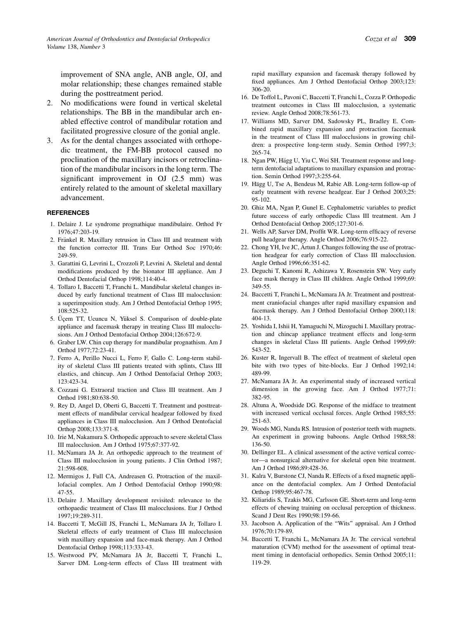<span id="page-9-0"></span>improvement of SNA angle, ANB angle, OJ, and molar relationship; these changes remained stable during the posttreatment period.

- 2. No modifications were found in vertical skeletal relationships. The BB in the mandibular arch enabled effective control of mandibular rotation and facilitated progressive closure of the gonial angle.
- 3. As for the dental changes associated with orthopedic treatment, the FM-BB protocol caused no proclination of the maxillary incisors or retroclination of the mandibular incisors in the long term. The significant improvement in OJ (2.5 mm) was entirely related to the amount of skeletal maxillary advancement.

#### **REFERENCES**

- 1. Delaire J. Le syndrome prognathique mandibulaire. Orthod Fr 1976;47:203-19.
- 2. Fränkel R. Maxillary retrusion in Class III and treatment with the function corrector III. Trans Eur Orthod Soc 1970;46: 249-59.
- 3. Garattini G, Levrini L, Crozzoli P, Levrini A. Skeletal and dental modifications produced by the bionator III appliance. Am J Orthod Dentofacial Orthop 1998;114:40-4.
- 4. Tollaro I, Baccetti T, Franchi L. Mandibular skeletal changes induced by early functional treatment of Class III malocclusion: a superimposition study. Am J Orthod Dentofacial Orthop 1995; 108:525-32.
- 5. Üçem TT, Ucuncu N, Yüksel S. Comparison of double-plate appliance and facemask therapy in treating Class III malocclusions. Am J Orthod Dentofacial Orthop 2004;126:672-9.
- 6. Graber LW. Chin cup therapy for mandibular prognathism. Am J Orthod 1977;72:23-41.
- 7. Ferro A, Perillo Nucci L, Ferro F, Gallo C. Long-term stability of skeletal Class III patients treated with splints, Class III elastics, and chincup. Am J Orthod Dentofacial Orthop 2003; 123:423-34.
- 8. Cozzani G. Extraoral traction and Class III treatment. Am J Orthod 1981;80:638-50.
- 9. Rey D, Angel D, Oberti G, Baccetti T. Treatment and posttreatment effects of mandibular cervical headgear followed by fixed appliances in Class III malocclusion. Am J Orthod Dentofacial Orthop 2008;133:371-8.
- 10. Irie M, Nakamura S. Orthopedic approach to severe skeletal Class III malocclusion. Am J Orthod 1975;67:377-92.
- 11. McNamara JA Jr. An orthopedic approach to the treatment of Class III malocclusion in young patients. J Clin Orthod 1987; 21:598-608.
- 12. Mermigos J, Full CA, Andreasen G. Protraction of the maxillofacial complex. Am J Orthod Dentofacial Orthop 1990;98: 47-55.
- 13. Delaire J. Maxillary development revisited: relevance to the orthopaedic treatment of Class III malocclusions. Eur J Orthod 1997;19:289-311.
- 14. Baccetti T, McGill JS, Franchi L, McNamara JA Jr, Tollaro I. Skeletal effects of early treatment of Class III malocclusion with maxillary expansion and face-mask therapy. Am J Orthod Dentofacial Orthop 1998;113:333-43.
- 15. Westwood PV, McNamara JA Jr, Baccetti T, Franchi L, Sarver DM. Long-term effects of Class III treatment with

rapid maxillary expansion and facemask therapy followed by fixed appliances. Am J Orthod Dentofacial Orthop 2003;123: 306-20.

- 16. De Toffol L, Pavoni C, Baccetti T, Franchi L, Cozza P. Orthopedic treatment outcomes in Class III malocclusion, a systematic review. Angle Orthod 2008;78:561-73.
- 17. Williams MD, Sarver DM, Sadowsky PL, Bradley E. Combined rapid maxillary expansion and protraction facemask in the treatment of Class III malocclusions in growing children: a prospective long-term study. Semin Orthod 1997;3: 265-74.
- 18. Ngan PW, Hägg U, Yiu C, Wei SH. Treatment response and longterm dentofacial adaptations to maxillary expansion and protraction. Semin Orthod 1997;3:255-64.
- 19. Hägg U, Tse A, Bendeus M, Rabie AB. Long-term follow-up of early treatment with reverse headgear. Eur J Orthod 2003;25: 95-102.
- 20. Ghiz MA, Ngan P, Gunel E. Cephalometric variables to predict future success of early orthopedic Class III treatment. Am J Orthod Dentofacial Orthop 2005;127:301-6.
- 21. Wells AP, Sarver DM, Proffit WR. Long-term efficacy of reverse pull headgear therapy. Angle Orthod 2006;76:915-22.
- 22. Chong YH, Ive JC, Artun J. Changes following the use of protraction headgear for early correction of Class III malocclusion. Angle Orthod 1996;66:351-62.
- 23. Deguchi T, Kanomi R, Ashizawa Y, Rosenstein SW. Very early face mask therapy in Class III children. Angle Orthod 1999;69: 349-55.
- 24. Baccetti T, Franchi L, McNamara JA Jr. Treatment and posttreatment craniofacial changes after rapid maxillary expansion and facemask therapy. Am J Orthod Dentofacial Orthop 2000;118: 404-13.
- 25. Yoshida I, Ishii H, Yamaguchi N, Mizoguchi I. Maxillary protraction and chincap appliance treatment effects and long-term changes in skeletal Class III patients. Angle Orthod 1999;69: 543-52.
- 26. Kuster R, Ingervall B. The effect of treatment of skeletal open bite with two types of bite-blocks. Eur J Orthod 1992;14: 489-99.
- 27. McNamara JA Jr. An experimental study of increased vertical dimension in the growing face. Am J Orthod 1977;71: 382-95.
- 28. Altuna A, Woodside DG. Response of the midface to treatment with increased vertical occlusal forces. Angle Orthod 1985;55: 251-63.
- 29. Woods MG, Nanda RS. Intrusion of posterior teeth with magnets. An experiment in growing baboons. Angle Orthod 1988;58: 136-50.
- 30. Dellinger EL. A clinical assessment of the active vertical corrector—a nonsurgical alternative for skeletal open bite treatment. Am J Orthod 1986;89:428-36.
- 31. Kalra V, Burstone CJ, Nanda R. Effects of a fixed magnetic appliance on the dentofacial complex. Am J Orthod Dentofacial Orthop 1989;95:467-78.
- 32. Kiliaridis S, Tzakis MG, Carlsson GE. Short-term and long-term effects of chewing training on occlusal perception of thickness. Scand J Dent Res 1990;98:159-66.
- 33. Jacobson A. Application of the ''Wits'' appraisal. Am J Orthod 1976;70:179-89.
- 34. Baccetti T, Franchi L, McNamara JA Jr. The cervical vertebral maturation (CVM) method for the assessment of optimal treatment timing in dentofacial orthopedics. Semin Orthod 2005;11: 119-29.